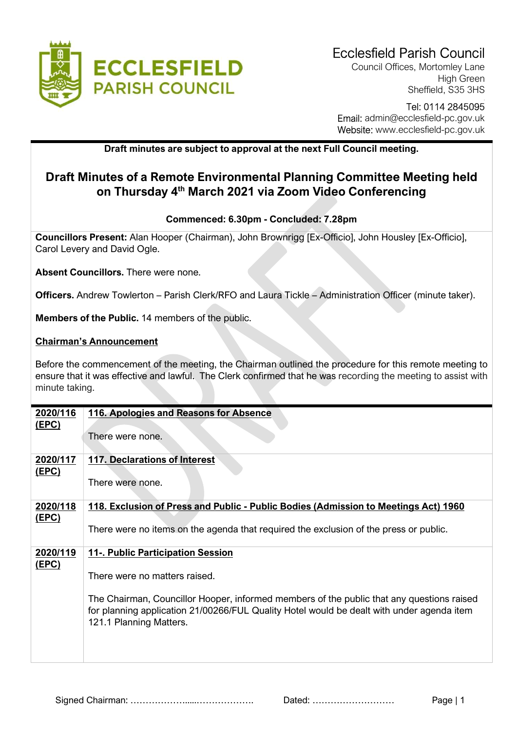

Council Offices, Mortomley Lane High Green Sheffield, S35 3HS

# Tel: 0114 2845095 Email: admin@ecclesfield-pc.gov.uk Website: www.ecclesfield-pc.gov.uk

# Draft minutes are subject to approval at the next Full Council meeting.

# Draft Minutes of a Remote Environmental Planning Committee Meeting held on Thursday 4th March 2021 via Zoom Video Conferencing

### Commenced: 6.30pm - Concluded: 7.28pm

Councillors Present: Alan Hooper (Chairman), John Brownrigg [Ex-Officio], John Housley [Ex-Officio], Carol Levery and David Ogle.

Absent Councillors. There were none.

Officers. Andrew Towlerton – Parish Clerk/RFO and Laura Tickle – Administration Officer (minute taker).

Members of the Public. 14 members of the public.

#### Chairman's Announcement

Before the commencement of the meeting, the Chairman outlined the procedure for this remote meeting to ensure that it was effective and lawful. The Clerk confirmed that he was recording the meeting to assist with minute taking.

| 2020/116     | 116. Apologies and Reasons for Absence                                                                               |
|--------------|----------------------------------------------------------------------------------------------------------------------|
| <u>(EPC)</u> |                                                                                                                      |
|              | There were none.                                                                                                     |
|              |                                                                                                                      |
| 2020/117     | <b>117. Declarations of Interest</b>                                                                                 |
| <u>(EPC)</u> | There were none.                                                                                                     |
|              |                                                                                                                      |
| 2020/118     | 118. Exclusion of Press and Public - Public Bodies (Admission to Meetings Act) 1960                                  |
| <u>(EPC)</u> |                                                                                                                      |
|              | There were no items on the agenda that required the exclusion of the press or public.                                |
| 2020/119     | 11-. Public Participation Session                                                                                    |
| (EPC)        |                                                                                                                      |
|              | There were no matters raised.                                                                                        |
|              |                                                                                                                      |
|              | The Chairman, Councillor Hooper, informed members of the public that any questions raised                            |
|              | for planning application 21/00266/FUL Quality Hotel would be dealt with under agenda item<br>121.1 Planning Matters. |
|              |                                                                                                                      |
|              |                                                                                                                      |
|              |                                                                                                                      |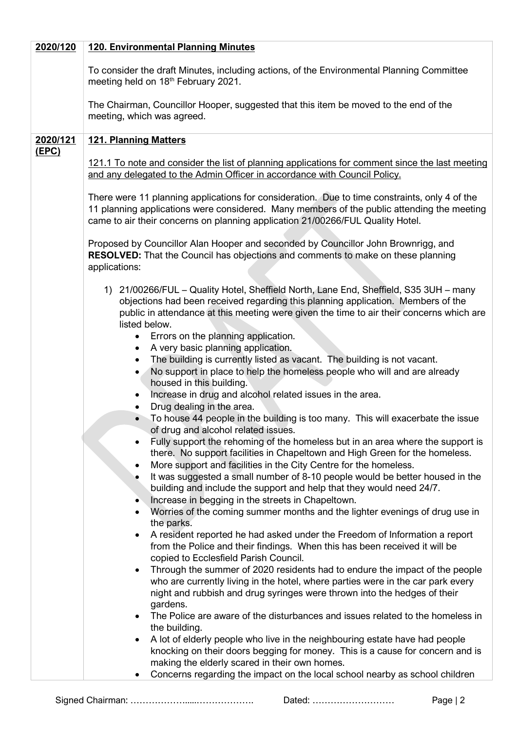| 2020/120 | <b>120. Environmental Planning Minutes</b>                                                                                                                                                                                                                                                                                                                                  |
|----------|-----------------------------------------------------------------------------------------------------------------------------------------------------------------------------------------------------------------------------------------------------------------------------------------------------------------------------------------------------------------------------|
|          | To consider the draft Minutes, including actions, of the Environmental Planning Committee<br>meeting held on 18 <sup>th</sup> February 2021.                                                                                                                                                                                                                                |
|          | The Chairman, Councillor Hooper, suggested that this item be moved to the end of the<br>meeting, which was agreed.                                                                                                                                                                                                                                                          |
| 2020/121 | <b>121. Planning Matters</b>                                                                                                                                                                                                                                                                                                                                                |
| (EPC)    | 121.1 To note and consider the list of planning applications for comment since the last meeting<br>and any delegated to the Admin Officer in accordance with Council Policy.<br>There were 11 planning applications for consideration. Due to time constraints, only 4 of the<br>11 planning applications were considered. Many members of the public attending the meeting |
|          | came to air their concerns on planning application 21/00266/FUL Quality Hotel.                                                                                                                                                                                                                                                                                              |
|          | Proposed by Councillor Alan Hooper and seconded by Councillor John Brownrigg, and<br><b>RESOLVED:</b> That the Council has objections and comments to make on these planning<br>applications:                                                                                                                                                                               |
|          | 1) 21/00266/FUL - Quality Hotel, Sheffield North, Lane End, Sheffield, S35 3UH - many<br>objections had been received regarding this planning application. Members of the<br>public in attendance at this meeting were given the time to air their concerns which are<br>listed below.                                                                                      |
|          | Errors on the planning application.<br>$\bullet$                                                                                                                                                                                                                                                                                                                            |
|          | A very basic planning application.<br>$\bullet$<br>The building is currently listed as vacant. The building is not vacant.<br>$\bullet$                                                                                                                                                                                                                                     |
|          | No support in place to help the homeless people who will and are already<br>$\bullet$<br>housed in this building.                                                                                                                                                                                                                                                           |
|          | Increase in drug and alcohol related issues in the area.<br>٠                                                                                                                                                                                                                                                                                                               |
|          | Drug dealing in the area.<br>To house 44 people in the building is too many. This will exacerbate the issue<br>$\bullet$                                                                                                                                                                                                                                                    |
|          | of drug and alcohol related issues.                                                                                                                                                                                                                                                                                                                                         |
|          | Fully support the rehoming of the homeless but in an area where the support is<br>there. No support facilities in Chapeltown and High Green for the homeless.<br>More support and facilities in the City Centre for the homeless.                                                                                                                                           |
|          | $\bullet$<br>It was suggested a small number of 8-10 people would be better housed in the<br>٠<br>building and include the support and help that they would need 24/7.<br>Increase in begging in the streets in Chapeltown.<br>٠                                                                                                                                            |
|          | Worries of the coming summer months and the lighter evenings of drug use in<br>$\bullet$                                                                                                                                                                                                                                                                                    |
|          | the parks.<br>A resident reported he had asked under the Freedom of Information a report<br>٠                                                                                                                                                                                                                                                                               |
|          | from the Police and their findings. When this has been received it will be<br>copied to Ecclesfield Parish Council.                                                                                                                                                                                                                                                         |
|          | Through the summer of 2020 residents had to endure the impact of the people<br>$\bullet$                                                                                                                                                                                                                                                                                    |
|          | who are currently living in the hotel, where parties were in the car park every<br>night and rubbish and drug syringes were thrown into the hedges of their                                                                                                                                                                                                                 |
|          | gardens.<br>The Police are aware of the disturbances and issues related to the homeless in<br>$\bullet$                                                                                                                                                                                                                                                                     |
|          | the building.<br>A lot of elderly people who live in the neighbouring estate have had people                                                                                                                                                                                                                                                                                |
|          | knocking on their doors begging for money. This is a cause for concern and is<br>making the elderly scared in their own homes.                                                                                                                                                                                                                                              |
|          | Concerns regarding the impact on the local school nearby as school children<br>$\bullet$                                                                                                                                                                                                                                                                                    |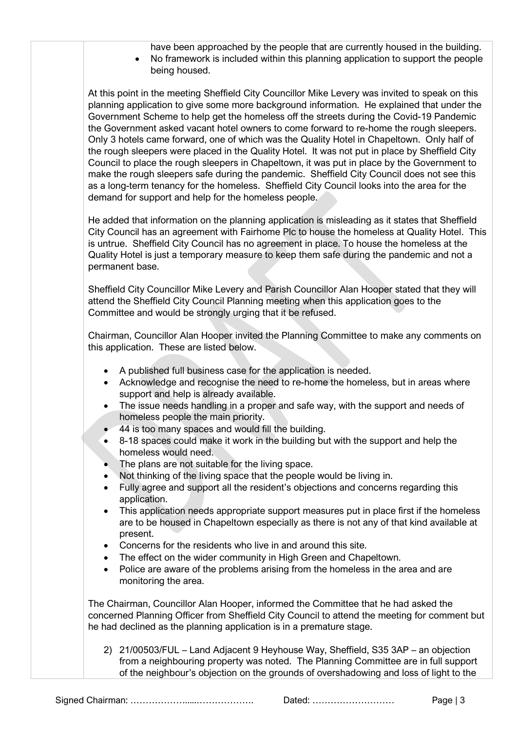- have been approached by the people that are currently housed in the building. No framework is included within this planning application to support the people
- being housed.

At this point in the meeting Sheffield City Councillor Mike Levery was invited to speak on this planning application to give some more background information. He explained that under the Government Scheme to help get the homeless off the streets during the Covid-19 Pandemic the Government asked vacant hotel owners to come forward to re-home the rough sleepers. Only 3 hotels came forward, one of which was the Quality Hotel in Chapeltown. Only half of the rough sleepers were placed in the Quality Hotel. It was not put in place by Sheffield City Council to place the rough sleepers in Chapeltown, it was put in place by the Government to make the rough sleepers safe during the pandemic. Sheffield City Council does not see this as a long-term tenancy for the homeless. Sheffield City Council looks into the area for the demand for support and help for the homeless people.

He added that information on the planning application is misleading as it states that Sheffield City Council has an agreement with Fairhome Plc to house the homeless at Quality Hotel. This is untrue. Sheffield City Council has no agreement in place. To house the homeless at the Quality Hotel is just a temporary measure to keep them safe during the pandemic and not a permanent base.

Sheffield City Councillor Mike Levery and Parish Councillor Alan Hooper stated that they will attend the Sheffield City Council Planning meeting when this application goes to the Committee and would be strongly urging that it be refused.

Chairman, Councillor Alan Hooper invited the Planning Committee to make any comments on this application. These are listed below.

- A published full business case for the application is needed.
- Acknowledge and recognise the need to re-home the homeless, but in areas where support and help is already available.
- The issue needs handling in a proper and safe way, with the support and needs of homeless people the main priority.
- 44 is too many spaces and would fill the building.
- 8-18 spaces could make it work in the building but with the support and help the homeless would need.
- The plans are not suitable for the living space.
- Not thinking of the living space that the people would be living in.
- Fully agree and support all the resident's objections and concerns regarding this application.
- This application needs appropriate support measures put in place first if the homeless are to be housed in Chapeltown especially as there is not any of that kind available at present.
- Concerns for the residents who live in and around this site.
- The effect on the wider community in High Green and Chapeltown.
- Police are aware of the problems arising from the homeless in the area and are monitoring the area.

The Chairman, Councillor Alan Hooper, informed the Committee that he had asked the concerned Planning Officer from Sheffield City Council to attend the meeting for comment but he had declined as the planning application is in a premature stage.

2) 21/00503/FUL – Land Adjacent 9 Heyhouse Way, Sheffield, S35 3AP – an objection from a neighbouring property was noted. The Planning Committee are in full support of the neighbour's objection on the grounds of overshadowing and loss of light to the